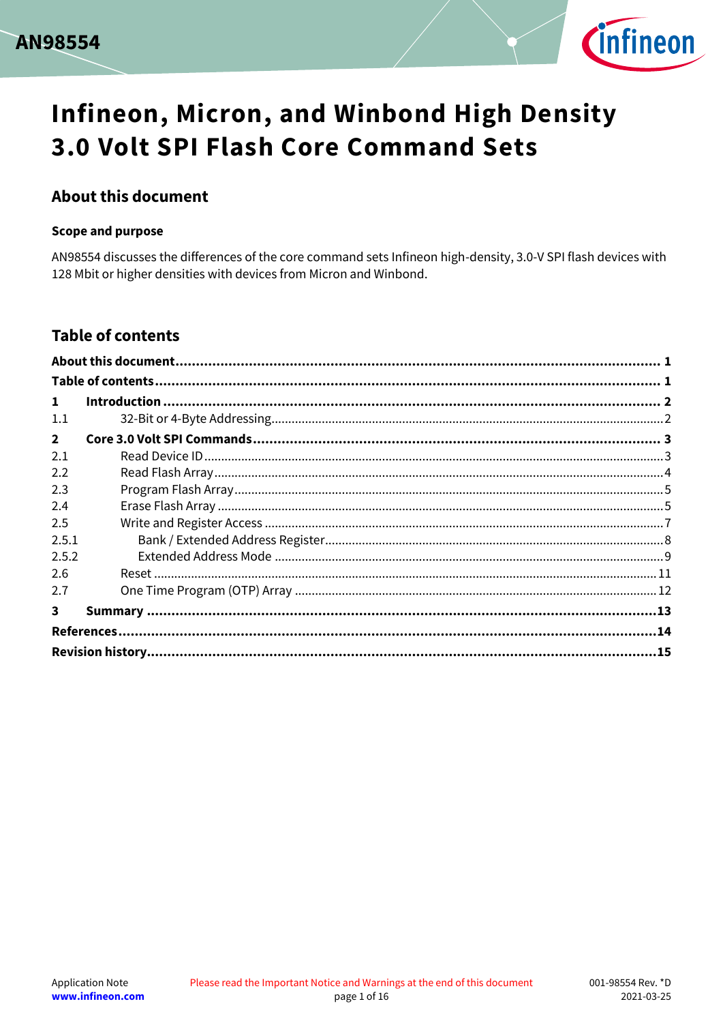



### <span id="page-0-0"></span>**About this document**

#### **Scope and purpose**

AN98554 discusses the differences of the core command sets Infineon high-density, 3.0-V SPI flash devices with 128 Mbit or higher densities with devices from Micron and Winbond.

### <span id="page-0-1"></span>**Table of contents**

| $\mathbf{1}$   |  |
|----------------|--|
| 1.1            |  |
| $\overline{2}$ |  |
| 2.1            |  |
| 2.2            |  |
| 2.3            |  |
| 2.4            |  |
| 2.5            |  |
| 2.5.1          |  |
| 2.5.2          |  |
| 2.6            |  |
| 2.7            |  |
| 3              |  |
|                |  |
|                |  |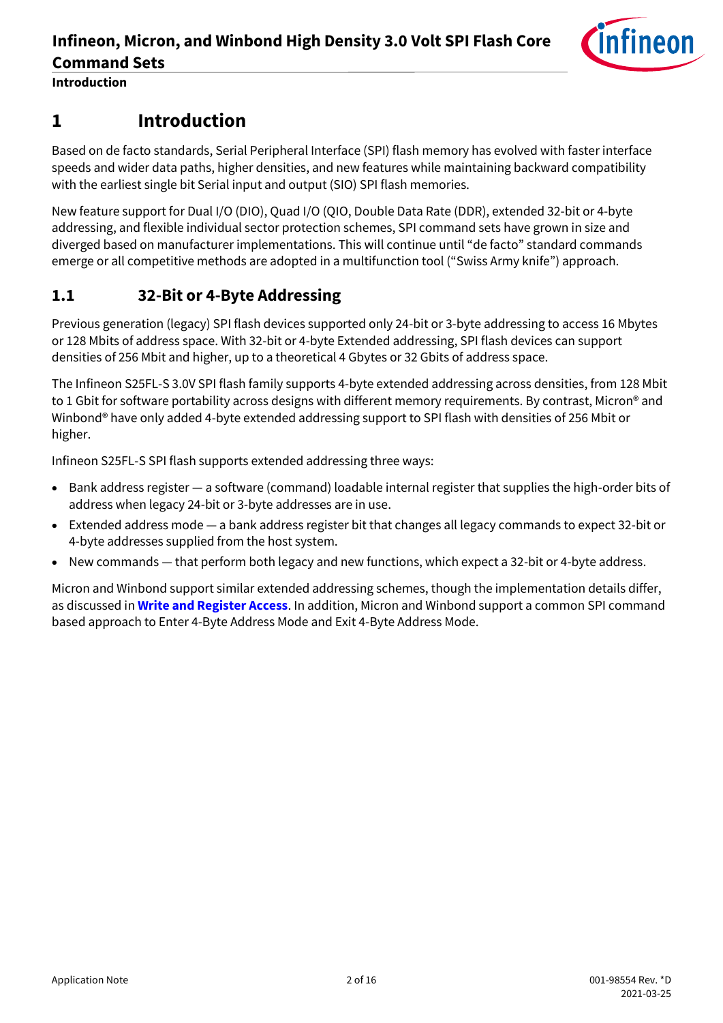

**Introduction**

# <span id="page-1-0"></span>**1 Introduction**

Based on de facto standards, Serial Peripheral Interface (SPI) flash memory has evolved with faster interface speeds and wider data paths, higher densities, and new features while maintaining backward compatibility with the earliest single bit Serial input and output (SIO) SPI flash memories.

New feature support for Dual I/O (DIO), Quad I/O (QIO, Double Data Rate (DDR), extended 32-bit or 4-byte addressing, and flexible individual sector protection schemes, SPI command sets have grown in size and diverged based on manufacturer implementations. This will continue until "de facto" standard commands emerge or all competitive methods are adopted in a multifunction tool ("Swiss Army knife") approach.

### <span id="page-1-1"></span>**1.1 32-Bit or 4-Byte Addressing**

Previous generation (legacy) SPI flash devices supported only 24-bit or 3-byte addressing to access 16 Mbytes or 128 Mbits of address space. With 32-bit or 4-byte Extended addressing, SPI flash devices can support densities of 256 Mbit and higher, up to a theoretical 4 Gbytes or 32 Gbits of address space.

The Infineon S25FL-S 3.0V SPI flash family supports 4-byte extended addressing across densities, from 128 Mbit to 1 Gbit for software portability across designs with different memory requirements. By contrast, Micron® and Winbond® have only added 4-byte extended addressing support to SPI flash with densities of 256 Mbit or higher.

Infineon S25FL-S SPI flash supports extended addressing three ways:

- Bank address register a software (command) loadable internal register that supplies the high-order bits of address when legacy 24-bit or 3-byte addresses are in use.
- Extended address mode a bank address register bit that changes all legacy commands to expect 32-bit or 4-byte addresses supplied from the host system.
- New commands that perform both legacy and new functions, which expect a 32-bit or 4-byte address.

Micron and Winbond support similar extended addressing schemes, though the implementation details differ, as discussed in **[Write and Register Access](#page-6-0)**. In addition, Micron and Winbond support a common SPI command based approach to Enter 4-Byte Address Mode and Exit 4-Byte Address Mode.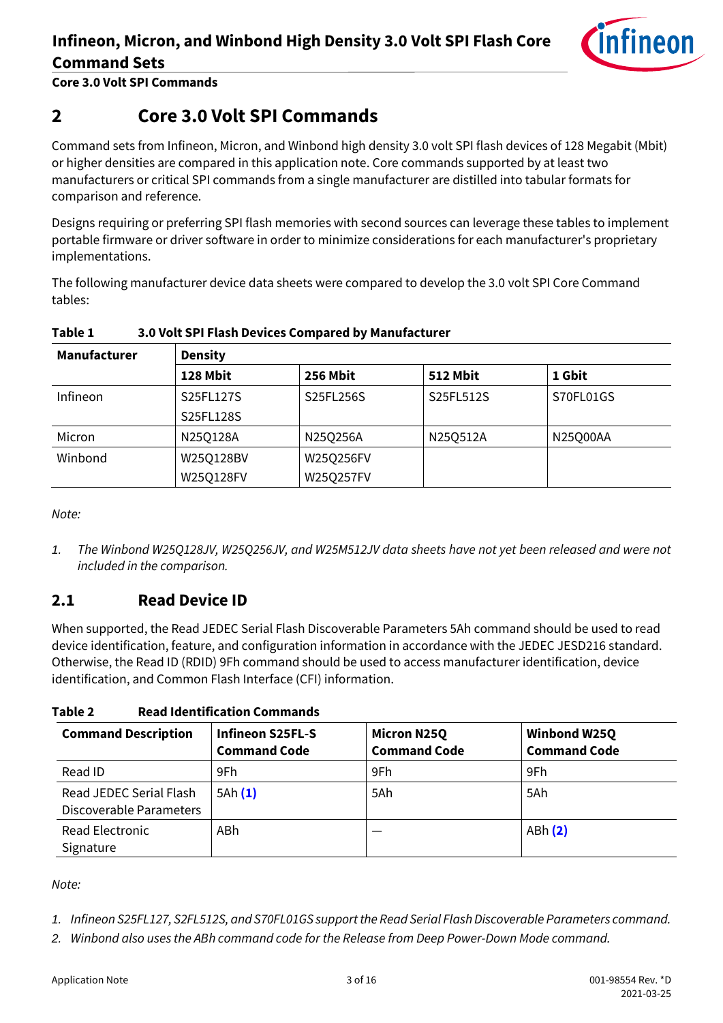

**Core 3.0 Volt SPI Commands**

# <span id="page-2-0"></span>**2 Core 3.0 Volt SPI Commands**

Command sets from Infineon, Micron, and Winbond high density 3.0 volt SPI flash devices of 128 Megabit (Mbit) or higher densities are compared in this application note. Core commands supported by at least two manufacturers or critical SPI commands from a single manufacturer are distilled into tabular formats for comparison and reference.

Designs requiring or preferring SPI flash memories with second sources can leverage these tables to implement portable firmware or driver software in order to minimize considerations for each manufacturer's proprietary implementations.

The following manufacturer device data sheets were compared to develop the 3.0 volt SPI Core Command tables:

| <b>Manufacturer</b> | <b>Density</b> |                 |                 |           |  |  |  |
|---------------------|----------------|-----------------|-----------------|-----------|--|--|--|
|                     | 128 Mbit       | <b>256 Mbit</b> | <b>512 Mbit</b> | 1 Gbit    |  |  |  |
| Infineon            | S25FL127S      | S25FL256S       | S25FL512S       | S70FL01GS |  |  |  |
|                     | S25FL128S      |                 |                 |           |  |  |  |
| Micron              | N25Q128A       | N25Q256A        | N25Q512A        | N25Q00AA  |  |  |  |
| Winbond             | W25Q128BV      | W25Q256FV       |                 |           |  |  |  |
|                     | W25Q128FV      | W25Q257FV       |                 |           |  |  |  |

#### <span id="page-2-4"></span>**Table 1 3.0 Volt SPI Flash Devices Compared by Manufacturer**

*Note:*

*1. The Winbond W25Q128JV, W25Q256JV, and W25M512JV data sheets have not yet been released and were not included in the comparison.*

### <span id="page-2-1"></span>**2.1 Read Device ID**

When supported, the Read JEDEC Serial Flash Discoverable Parameters 5Ah command should be used to read device identification, feature, and configuration information in accordance with the JEDEC JESD216 standard. Otherwise, the Read ID (RDID) 9Fh command should be used to access manufacturer identification, device identification, and Common Flash Interface (CFI) information.

**Table 2 Read Identification Commands**

| <b>Command Description</b>                         | Infineon S25FL-S<br><b>Command Code</b> | <b>Micron N25Q</b><br><b>Command Code</b> | <b>Winbond W25Q</b><br><b>Command Code</b> |
|----------------------------------------------------|-----------------------------------------|-------------------------------------------|--------------------------------------------|
| Read ID                                            | 9Fh                                     | 9Fh                                       | 9Fh                                        |
| Read JEDEC Serial Flash<br>Discoverable Parameters | 5Ah(1)                                  | 5Ah                                       | 5Ah                                        |
| <b>Read Electronic</b><br>Signature                | ABh                                     |                                           | ABh (2)                                    |

*Note:*

<span id="page-2-2"></span>*1. Infineon S25FL127, S2FL512S, and S70FL01GS support the Read Serial Flash Discoverable Parameters command.*

<span id="page-2-3"></span>*2. Winbond also uses the ABh command code for the Release from Deep Power-Down Mode command.*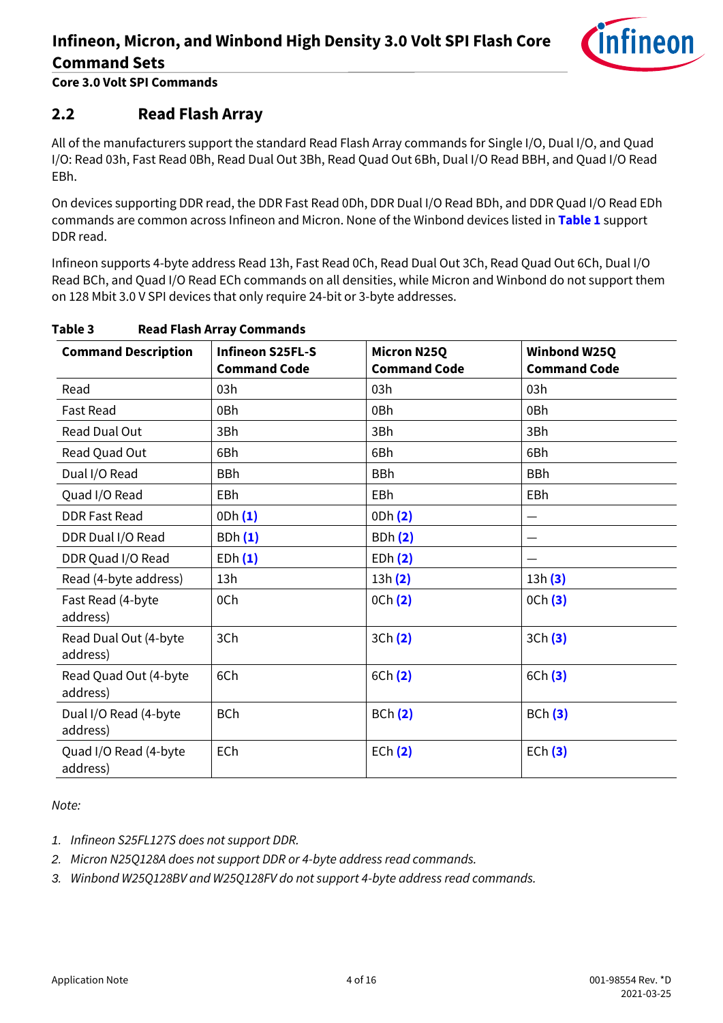

**Core 3.0 Volt SPI Commands**

### <span id="page-3-0"></span>**2.2 Read Flash Array**

All of the manufacturers support the standard Read Flash Array commands for Single I/O, Dual I/O, and Quad I/O: Read 03h, Fast Read 0Bh, Read Dual Out 3Bh, Read Quad Out 6Bh, Dual I/O Read BBH, and Quad I/O Read EBh.

On devices supporting DDR read, the DDR Fast Read 0Dh, DDR Dual I/O Read BDh, and DDR Quad I/O Read EDh commands are common across Infineon and Micron. None of the Winbond devices listed in **[Table 1](#page-2-4)** support DDR read.

Infineon supports 4-byte address Read 13h, Fast Read 0Ch, Read Dual Out 3Ch, Read Quad Out 6Ch, Dual I/O Read BCh, and Quad I/O Read ECh commands on all densities, while Micron and Winbond do not support them on 128 Mbit 3.0 V SPI devices that only require 24-bit or 3-byte addresses.

| <b>Command Description</b>        | <b>Infineon S25FL-S</b><br><b>Command Code</b> | <b>Micron N25Q</b><br><b>Command Code</b> | Winbond W25Q<br><b>Command Code</b> |
|-----------------------------------|------------------------------------------------|-------------------------------------------|-------------------------------------|
| Read                              | 03h                                            | 03h                                       | 03h                                 |
| <b>Fast Read</b>                  | 0Bh                                            | 0Bh                                       | 0Bh                                 |
| Read Dual Out                     | 3Bh                                            | 3Bh                                       | 3Bh                                 |
| Read Quad Out                     | 6Bh                                            | 6Bh                                       | 6Bh                                 |
| Dual I/O Read                     | <b>BBh</b>                                     | <b>BBh</b>                                | <b>BBh</b>                          |
| Quad I/O Read                     | EBh                                            | EBh                                       | EBh                                 |
| <b>DDR Fast Read</b>              | 0Dh(1)                                         | 0Dh (2)                                   | $\overline{\phantom{0}}$            |
| DDR Dual I/O Read                 | <b>BDh(1)</b>                                  | <b>BDh(2)</b>                             |                                     |
| DDR Quad I/O Read                 | EDh(1)                                         | EDh(2)                                    |                                     |
| Read (4-byte address)             | 13h                                            | 13h(2)                                    | 13h(3)                              |
| Fast Read (4-byte<br>address)     | 0Ch                                            | 0 <sup>ch</sup> (2)                       | 0 <sup>C</sup> h(3)                 |
| Read Dual Out (4-byte<br>address) | 3Ch                                            | 3Ch (2)                                   | 3Ch(3)                              |
| Read Quad Out (4-byte<br>address) | 6Ch                                            | 6Ch (2)                                   | 6Ch(3)                              |
| Dual I/O Read (4-byte<br>address) | <b>BCh</b>                                     | BCh(2)                                    | BCh(3)                              |
| Quad I/O Read (4-byte<br>address) | ECh                                            | ECh(2)                                    | ECh(3)                              |

#### **Table 3 Read Flash Array Commands**

*Note:*

<span id="page-3-1"></span>*1. Infineon S25FL127S does not support DDR.*

<span id="page-3-2"></span>*2. Micron N25Q128A does not support DDR or 4-byte address read commands.*

<span id="page-3-3"></span>*3. Winbond W25Q128BV and W25Q128FV do not support 4-byte address read commands.*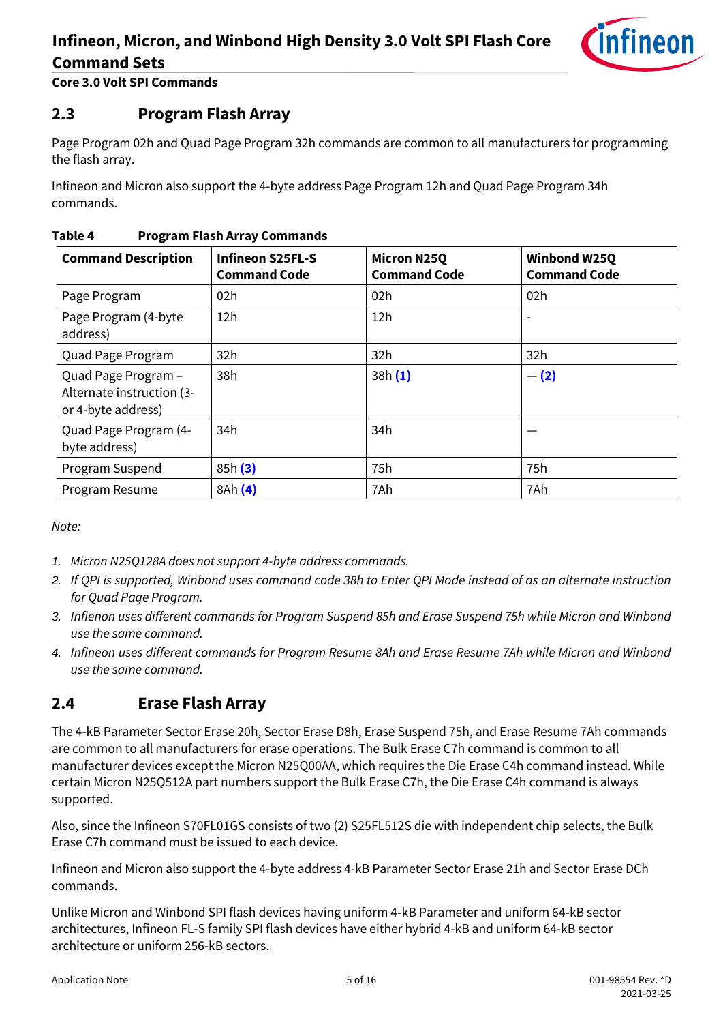

**Core 3.0 Volt SPI Commands**

### <span id="page-4-0"></span>**2.3 Program Flash Array**

Page Program 02h and Quad Page Program 32h commands are common to all manufacturers for programming the flash array.

Infineon and Micron also support the 4-byte address Page Program 12h and Quad Page Program 34h commands.

| <b>Command Description</b>                                             | <b>Infineon S25FL-S</b><br><b>Command Code</b> | <b>Micron N25Q</b><br><b>Command Code</b> | Winbond W25Q<br><b>Command Code</b> |
|------------------------------------------------------------------------|------------------------------------------------|-------------------------------------------|-------------------------------------|
| Page Program                                                           | 02h                                            | 02h                                       | 02h                                 |
| Page Program (4-byte<br>address)                                       | 12h                                            | 12h                                       |                                     |
| Quad Page Program                                                      | 32h                                            | 32h                                       | 32h                                 |
| Quad Page Program -<br>Alternate instruction (3-<br>or 4-byte address) | 38h                                            | 38h(1)                                    | $- (2)$                             |
| Quad Page Program (4-<br>byte address)                                 | 34h                                            | 34h                                       |                                     |
| Program Suspend                                                        | 85h(3)                                         | 75h                                       | 75h                                 |
| Program Resume                                                         | 8Ah (4)                                        | 7Ah                                       | 7Ah                                 |

#### **Table 4 Program Flash Array Commands**

*Note:*

- <span id="page-4-2"></span>*1. Micron N25Q128A does not support 4-byte address commands.*
- <span id="page-4-3"></span>*2. If QPI is supported, Winbond uses command code 38h to Enter QPI Mode instead of as an alternate instruction for Quad Page Program.*
- <span id="page-4-4"></span>*3. Infienon uses different commands for Program Suspend 85h and Erase Suspend 75h while Micron and Winbond use the same command.*
- <span id="page-4-5"></span>*4. Infineon uses different commands for Program Resume 8Ah and Erase Resume 7Ah while Micron and Winbond use the same command.*

### <span id="page-4-1"></span>**2.4 Erase Flash Array**

The 4-kB Parameter Sector Erase 20h, Sector Erase D8h, Erase Suspend 75h, and Erase Resume 7Ah commands are common to all manufacturers for erase operations. The Bulk Erase C7h command is common to all manufacturer devices except the Micron N25Q00AA, which requires the Die Erase C4h command instead. While certain Micron N25Q512A part numbers support the Bulk Erase C7h, the Die Erase C4h command is always supported.

Also, since the Infineon S70FL01GS consists of two (2) S25FL512S die with independent chip selects, the Bulk Erase C7h command must be issued to each device.

Infineon and Micron also support the 4-byte address 4-kB Parameter Sector Erase 21h and Sector Erase DCh commands.

Unlike Micron and Winbond SPI flash devices having uniform 4-kB Parameter and uniform 64-kB sector architectures, Infineon FL-S family SPI flash devices have either hybrid 4-kB and uniform 64-kB sector architecture or uniform 256-kB sectors.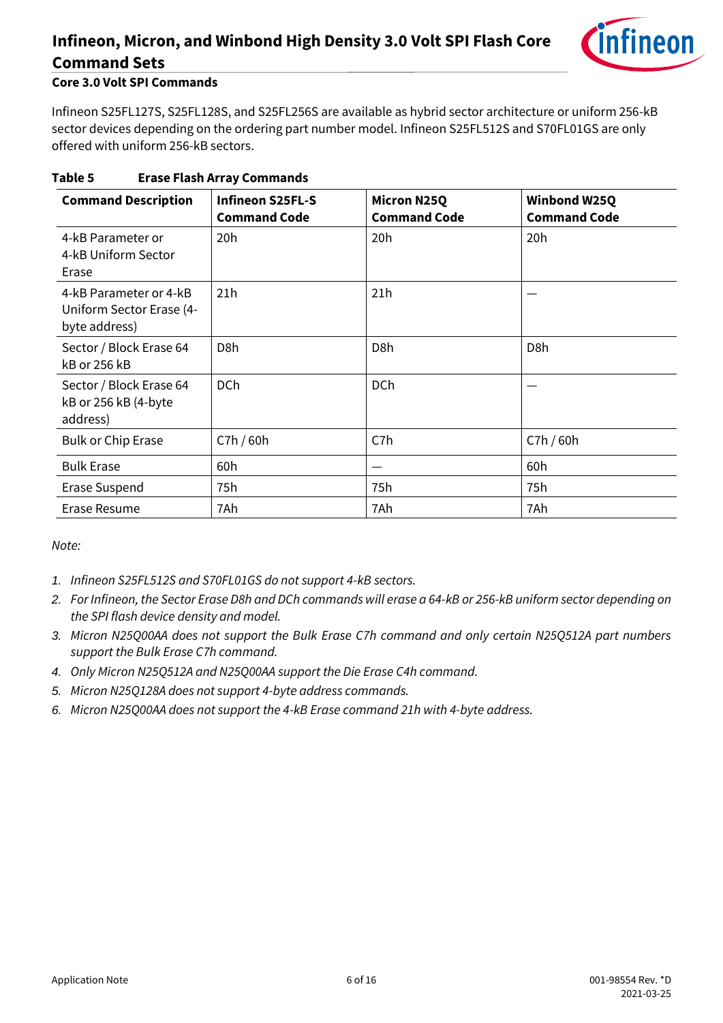

#### **Core 3.0 Volt SPI Commands**

Infineon S25FL127S, S25FL128S, and S25FL256S are available as hybrid sector architecture or uniform 256-kB sector devices depending on the ordering part number model. Infineon S25FL512S and S70FL01GS are only offered with uniform 256-kB sectors.

| <b>Command Description</b>                                          | <b>Infineon S25FL-S</b><br><b>Command Code</b> | <b>Micron N25Q</b><br><b>Command Code</b> | Winbond W25Q<br><b>Command Code</b> |
|---------------------------------------------------------------------|------------------------------------------------|-------------------------------------------|-------------------------------------|
| 4-kB Parameter or<br>4-kB Uniform Sector<br>Erase                   | 20h                                            | 20h                                       | 20h                                 |
| 4-kB Parameter or 4-kB<br>Uniform Sector Erase (4-<br>byte address) | 21h                                            | 21h                                       |                                     |
| Sector / Block Erase 64<br>kB or 256 kB                             | D <sub>8</sub> h                               | D <sub>8</sub> h                          | D <sub>8</sub> h                    |
| Sector / Block Erase 64<br>kB or 256 kB (4-byte<br>address)         | <b>DCh</b>                                     | <b>DCh</b>                                |                                     |
| <b>Bulk or Chip Erase</b>                                           | C7h / 60h                                      | C7h                                       | C7h / 60h                           |
| <b>Bulk Erase</b>                                                   | 60h                                            |                                           | 60h                                 |
| Erase Suspend                                                       | 75h                                            | 75h                                       | 75h                                 |
| Erase Resume                                                        | 7Ah                                            | 7Ah                                       | 7Ah                                 |

### **Table 5 Erase Flash Array Commands**

*Note:*

- *1. Infineon S25FL512S and S70FL01GS do not support 4-kB sectors.*
- *2. For Infineon, the Sector Erase D8h and DCh commands will erase a 64-kB or 256-kB uniform sector depending on the SPI flash device density and model.*
- *3. Micron N25Q00AA does not support the Bulk Erase C7h command and only certain N25Q512A part numbers support the Bulk Erase C7h command.*
- *4. Only Micron N25Q512A and N25Q00AA support the Die Erase C4h command.*
- *5. Micron N25Q128A does not support 4-byte address commands.*
- *6. Micron N25Q00AA does not support the 4-kB Erase command 21h with 4-byte address.*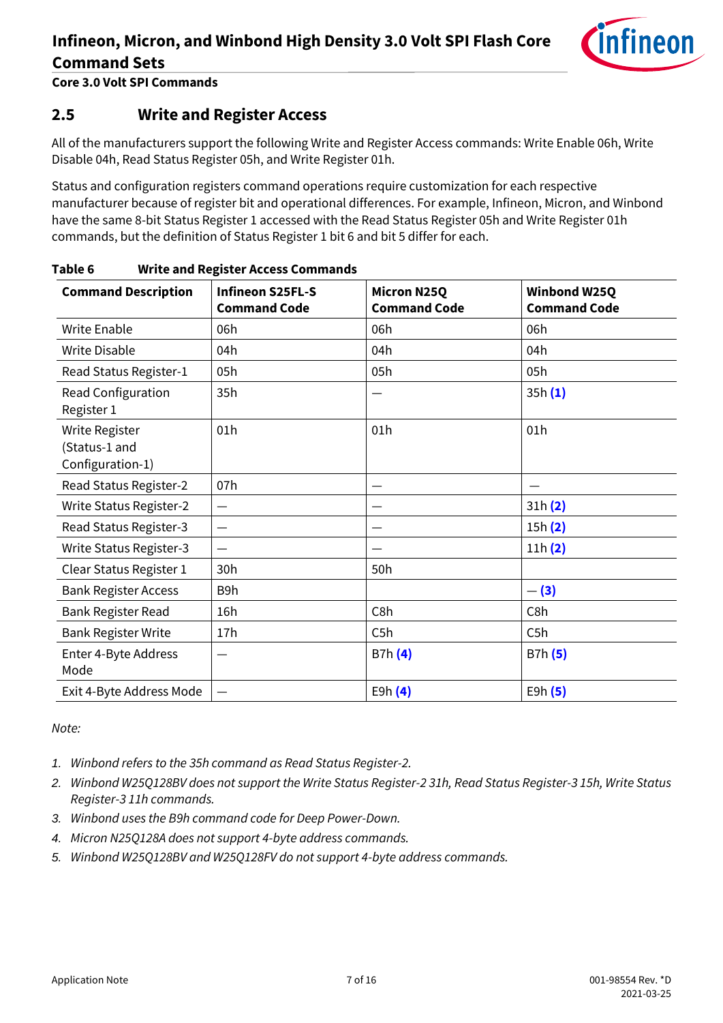

**Core 3.0 Volt SPI Commands**

### <span id="page-6-0"></span>**2.5 Write and Register Access**

All of the manufacturers support the following Write and Register Access commands: Write Enable 06h, Write Disable 04h, Read Status Register 05h, and Write Register 01h.

Status and configuration registers command operations require customization for each respective manufacturer because of register bit and operational differences. For example, Infineon, Micron, and Winbond have the same 8-bit Status Register 1 accessed with the Read Status Register 05h and Write Register 01h commands, but the definition of Status Register 1 bit 6 and bit 5 differ for each.

| <b>Command Description</b>                          | <b>Infineon S25FL-S</b><br><b>Command Code</b> | <b>Micron N25Q</b><br><b>Command Code</b> | Winbond W25Q<br><b>Command Code</b> |
|-----------------------------------------------------|------------------------------------------------|-------------------------------------------|-------------------------------------|
| Write Enable                                        | 06h                                            | 06h                                       | 06h                                 |
| Write Disable                                       | 04h                                            | 04h                                       | 04h                                 |
| Read Status Register-1                              | 05h                                            | 05h                                       | 05h                                 |
| Read Configuration<br>Register 1                    | 35h                                            |                                           | 35h(1)                              |
| Write Register<br>(Status-1 and<br>Configuration-1) | 01h                                            | 01h                                       | 01h                                 |
| Read Status Register-2                              | 07h                                            |                                           |                                     |
| <b>Write Status Register-2</b>                      | $\qquad \qquad$                                |                                           | 31h(2)                              |
| Read Status Register-3                              |                                                |                                           | 15h(2)                              |
| <b>Write Status Register-3</b>                      | —                                              |                                           | 11h(2)                              |
| Clear Status Register 1                             | 30h                                            | 50h                                       |                                     |
| <b>Bank Register Access</b>                         | B9h                                            |                                           | $- (3)$                             |
| Bank Register Read                                  | 16h                                            | C8h                                       | C8h                                 |
| <b>Bank Register Write</b>                          | 17h                                            | C5h                                       | C5h                                 |
| Enter 4-Byte Address<br>Mode                        | —                                              | B7h (4)                                   | B7h (5)                             |
| Exit 4-Byte Address Mode                            | —                                              | E9h $(4)$                                 | E9h(5)                              |

**Table 6 Write and Register Access Commands**

*Note:*

<span id="page-6-1"></span>*1. Winbond refers to the 35h command as Read Status Register-2.*

- <span id="page-6-2"></span>*2. Winbond W25Q128BV does not support the Write Status Register-2 31h, Read Status Register-3 15h, Write Status Register-3 11h commands.*
- <span id="page-6-3"></span>*3. Winbond uses the B9h command code for Deep Power-Down.*
- <span id="page-6-4"></span>*4. Micron N25Q128A does not support 4-byte address commands.*
- <span id="page-6-5"></span>*5. Winbond W25Q128BV and W25Q128FV do not support 4-byte address commands.*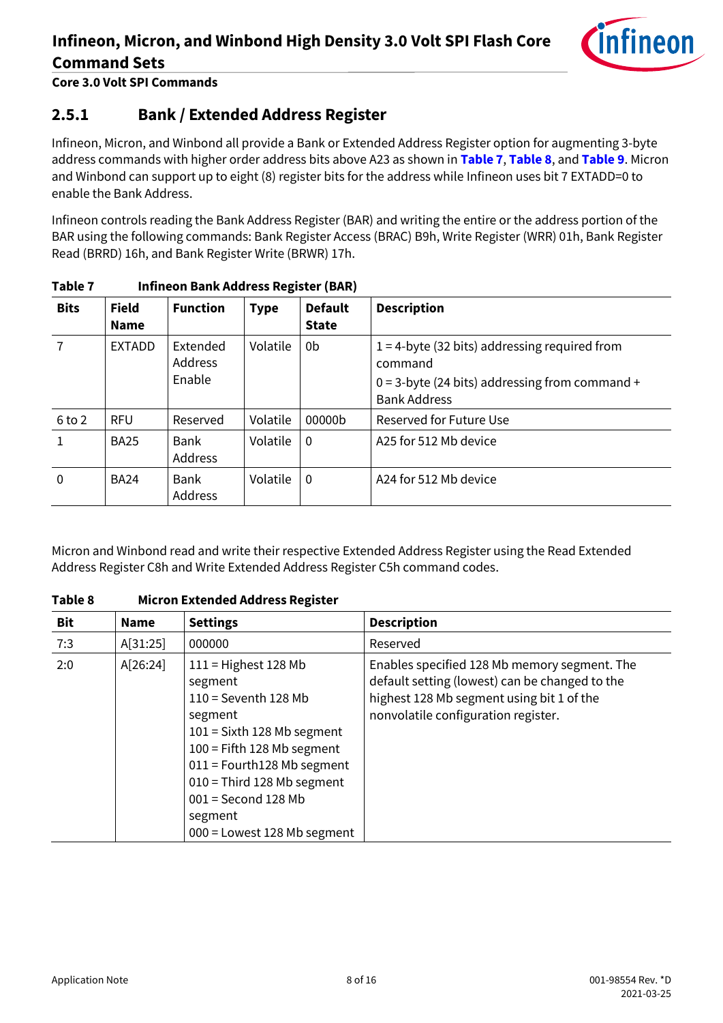

**Core 3.0 Volt SPI Commands**

### <span id="page-7-0"></span>**2.5.1 Bank / Extended Address Register**

Infineon, Micron, and Winbond all provide a Bank or Extended Address Register option for augmenting 3-byte address commands with higher order address bits above A23 as shown in **[Table 7](#page-7-1)**, **[Table 8](#page-7-2)**, and **[Table 9](#page-8-1)**. Micron and Winbond can support up to eight (8) register bits for the address while Infineon uses bit 7 EXTADD=0 to enable the Bank Address.

Infineon controls reading the Bank Address Register (BAR) and writing the entire or the address portion of the BAR using the following commands: Bank Register Access (BRAC) B9h, Write Register (WRR) 01h, Bank Register Read (BRRD) 16h, and Bank Register Write (BRWR) 17h.

| i unici     |                             | <u>HIIIKUH DAHKAUU CSS REGISTEF (DAIT)</u> |             |                                |                                                                                                                                         |  |  |  |
|-------------|-----------------------------|--------------------------------------------|-------------|--------------------------------|-----------------------------------------------------------------------------------------------------------------------------------------|--|--|--|
| <b>Bits</b> | <b>Field</b><br><b>Name</b> | <b>Function</b>                            | <b>Type</b> | <b>Default</b><br><b>State</b> | <b>Description</b>                                                                                                                      |  |  |  |
|             | <b>EXTADD</b>               | Extended<br><b>Address</b><br>Enable       | Volatile    | 0b                             | $1 = 4$ -byte (32 bits) addressing required from<br>command<br>$0 = 3$ -byte (24 bits) addressing from command +<br><b>Bank Address</b> |  |  |  |
| 6 to 2      | <b>RFU</b>                  | Reserved                                   | Volatile    | 00000b                         | Reserved for Future Use                                                                                                                 |  |  |  |
| 1           | <b>BA25</b>                 | <b>Bank</b><br>Address                     | Volatile    | $\Omega$                       | A25 for 512 Mb device                                                                                                                   |  |  |  |
| $\mathbf 0$ | <b>BA24</b>                 | <b>Bank</b><br>Address                     | Volatile    | $\Omega$                       | A24 for 512 Mb device                                                                                                                   |  |  |  |

#### <span id="page-7-1"></span>**Table 7 Infineon Bank Address Register (BAR)**

Micron and Winbond read and write their respective Extended Address Register using the Read Extended Address Register C8h and Write Extended Address Register C5h command codes.

| <b>Bit</b> | <b>Name</b> | <b>Settings</b>                                                                                                                                                                                                                                                           | <b>Description</b>                                                                                                                                                                 |
|------------|-------------|---------------------------------------------------------------------------------------------------------------------------------------------------------------------------------------------------------------------------------------------------------------------------|------------------------------------------------------------------------------------------------------------------------------------------------------------------------------------|
| 7:3        | A[31:25]    | 000000                                                                                                                                                                                                                                                                    | Reserved                                                                                                                                                                           |
| 2:0        | A[26:24]    | $111 =$ Highest 128 Mb<br>segment<br>$110$ = Seventh 128 Mb<br>segment<br>$101 =$ Sixth 128 Mb segment<br>$100$ = Fifth 128 Mb segment<br>$011$ = Fourth128 Mb segment<br>$010$ = Third 128 Mb segment<br>$001$ = Second 128 Mb<br>segment<br>000 = Lowest 128 Mb segment | Enables specified 128 Mb memory segment. The<br>default setting (lowest) can be changed to the<br>highest 128 Mb segment using bit 1 of the<br>nonvolatile configuration register. |

<span id="page-7-2"></span>**Table 8 Micron Extended Address Register**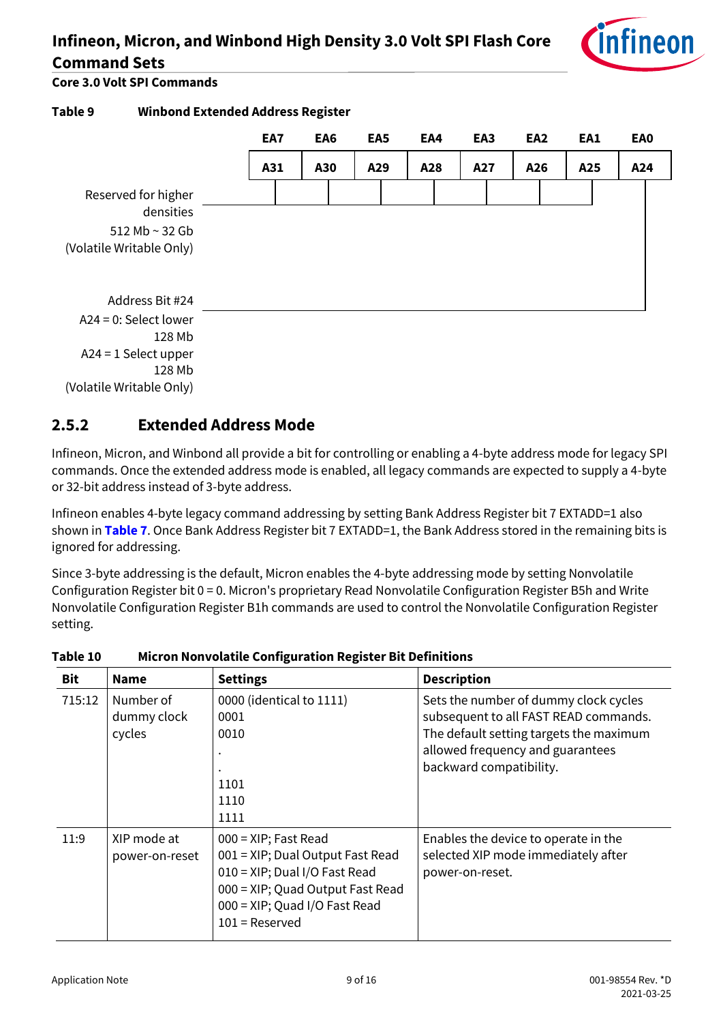

**Core 3.0 Volt SPI Commands**

<span id="page-8-1"></span>

### <span id="page-8-0"></span>**2.5.2 Extended Address Mode**

Infineon, Micron, and Winbond all provide a bit for controlling or enabling a 4-byte address mode for legacy SPI commands. Once the extended address mode is enabled, all legacy commands are expected to supply a 4-byte or 32-bit address instead of 3-byte address.

Infineon enables 4-byte legacy command addressing by setting Bank Address Register bit 7 EXTADD=1 also shown in **[Table 7](#page-7-1)**. Once Bank Address Register bit 7 EXTADD=1, the Bank Address stored in the remaining bits is ignored for addressing.

Since 3-byte addressing is the default, Micron enables the 4-byte addressing mode by setting Nonvolatile Configuration Register bit 0 = 0. Micron's proprietary Read Nonvolatile Configuration Register B5h and Write Nonvolatile Configuration Register B1h commands are used to control the Nonvolatile Configuration Register setting.

| <b>Bit</b> | <b>Name</b>                        | <b>Settings</b>                                                                                                                                                                       | <b>Description</b>                                                                                                                                                                       |
|------------|------------------------------------|---------------------------------------------------------------------------------------------------------------------------------------------------------------------------------------|------------------------------------------------------------------------------------------------------------------------------------------------------------------------------------------|
| 715:12     | Number of<br>dummy clock<br>cycles | 0000 (identical to 1111)<br>0001<br>0010<br>1101<br>1110<br>1111                                                                                                                      | Sets the number of dummy clock cycles<br>subsequent to all FAST READ commands.<br>The default setting targets the maximum<br>allowed frequency and guarantees<br>backward compatibility. |
| 11:9       | XIP mode at<br>power-on-reset      | $000 = XIP$ ; Fast Read<br>001 = XIP; Dual Output Fast Read<br>010 = XIP; Dual I/O Fast Read<br>000 = XIP; Quad Output Fast Read<br>000 = XIP; Quad I/O Fast Read<br>$101$ = Reserved | Enables the device to operate in the<br>selected XIP mode immediately after<br>power-on-reset.                                                                                           |

**Table 10 Micron Nonvolatile Configuration Register Bit Definitions**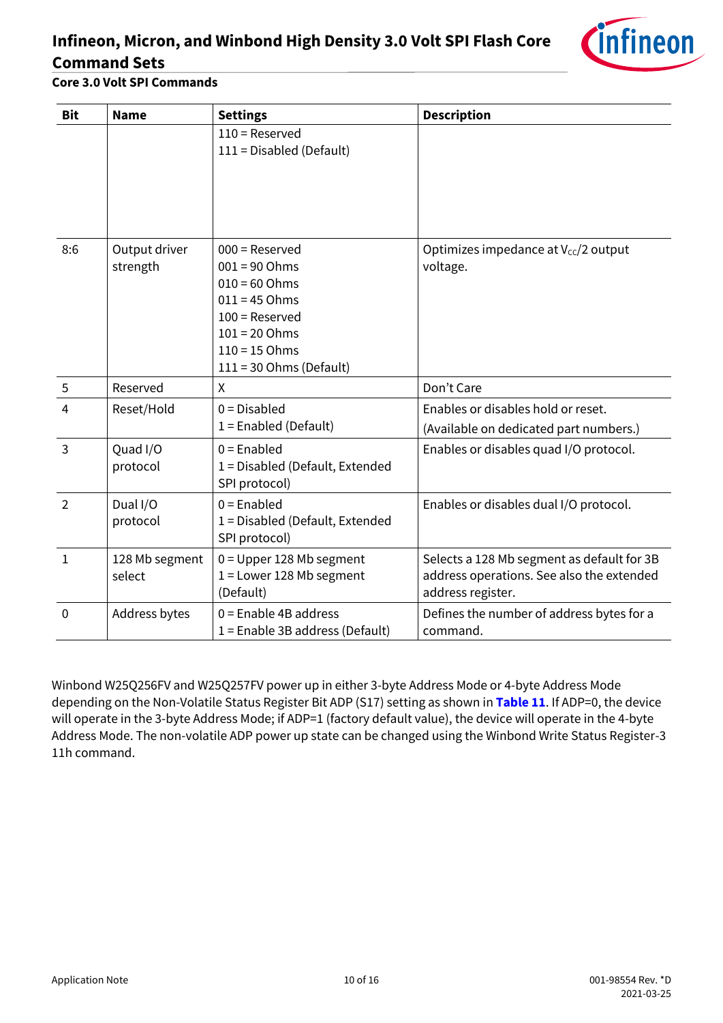

#### **Core 3.0 Volt SPI Commands**

| <b>Bit</b>     | <b>Name</b>               | <b>Settings</b>                                                                                                                                                  | <b>Description</b>                                                                                           |
|----------------|---------------------------|------------------------------------------------------------------------------------------------------------------------------------------------------------------|--------------------------------------------------------------------------------------------------------------|
|                |                           | $110$ = Reserved<br>111 = Disabled (Default)                                                                                                                     |                                                                                                              |
| 8:6            | Output driver<br>strength | $000$ = Reserved<br>$001 = 90$ Ohms<br>$010 = 60$ Ohms<br>$011 = 45$ Ohms<br>$100$ = Reserved<br>$101 = 20$ Ohms<br>$110 = 15$ Ohms<br>$111 = 30$ Ohms (Default) | Optimizes impedance at V <sub>cc</sub> /2 output<br>voltage.                                                 |
| 5              | Reserved                  | X                                                                                                                                                                | Don't Care                                                                                                   |
| 4              | Reset/Hold                | $0 = Disable$<br>$1 =$ Enabled (Default)                                                                                                                         | Enables or disables hold or reset.<br>(Available on dedicated part numbers.)                                 |
| $\overline{3}$ | Quad I/O<br>protocol      | $0 =$ Enabled<br>1 = Disabled (Default, Extended<br>SPI protocol)                                                                                                | Enables or disables quad I/O protocol.                                                                       |
| $\overline{2}$ | Dual I/O<br>protocol      | $0 =$ Enabled<br>1 = Disabled (Default, Extended<br>SPI protocol)                                                                                                | Enables or disables dual I/O protocol.                                                                       |
| $\mathbf{1}$   | 128 Mb segment<br>select  | $0 =$ Upper 128 Mb segment<br>$1 =$ Lower 128 Mb segment<br>(Default)                                                                                            | Selects a 128 Mb segment as default for 3B<br>address operations. See also the extended<br>address register. |
| $\mathbf 0$    | Address bytes             | $0 =$ Enable 4B address<br>$1 =$ Enable 3B address (Default)                                                                                                     | Defines the number of address bytes for a<br>command.                                                        |

Winbond W25Q256FV and W25Q257FV power up in either 3-byte Address Mode or 4-byte Address Mode depending on the Non-Volatile Status Register Bit ADP (S17) setting as shown in **[Table 11](#page-10-1)**. If ADP=0, the device will operate in the 3-byte Address Mode; if ADP=1 (factory default value), the device will operate in the 4-byte Address Mode. The non-volatile ADP power up state can be changed using the Winbond Write Status Register-3 11h command.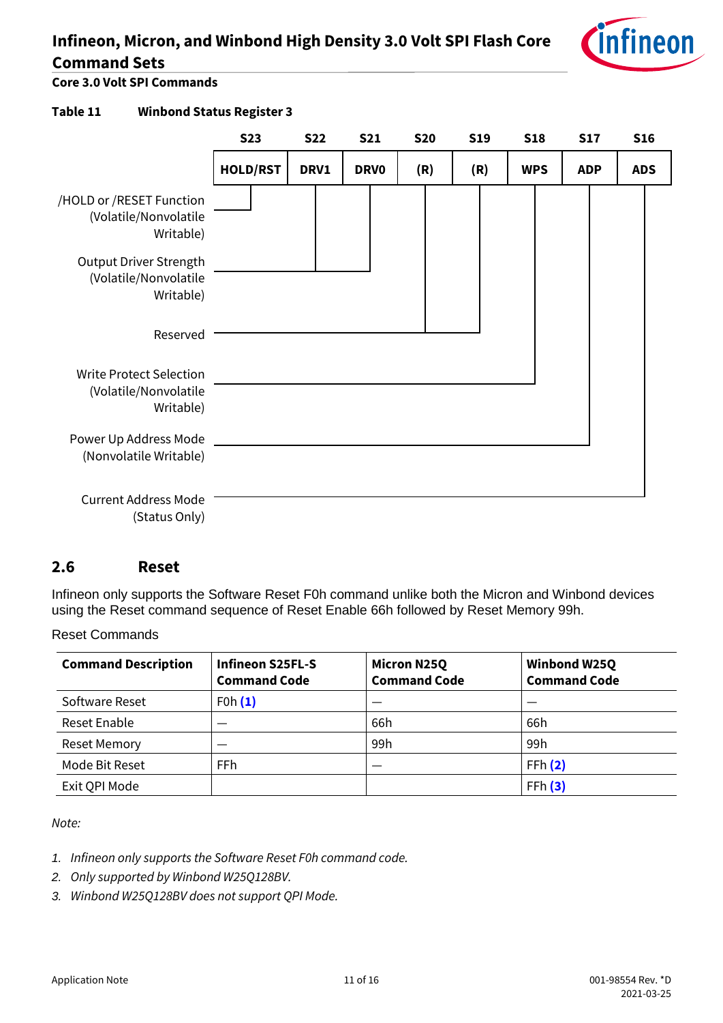

**Core 3.0 Volt SPI Commands**

#### <span id="page-10-1"></span>**Table 11 Winbond Status Register 3**

|                                                                      | <b>S23</b>      | <b>S22</b> | <b>S21</b>  | <b>S20</b> | <b>S19</b> | <b>S18</b> | <b>S17</b> | <b>S16</b> |
|----------------------------------------------------------------------|-----------------|------------|-------------|------------|------------|------------|------------|------------|
|                                                                      | <b>HOLD/RST</b> | DRV1       | <b>DRVO</b> | (R)        | (R)        | <b>WPS</b> | <b>ADP</b> | <b>ADS</b> |
| /HOLD or /RESET Function<br>(Volatile/Nonvolatile<br>Writable)       |                 |            |             |            |            |            |            |            |
| Output Driver Strength<br>(Volatile/Nonvolatile<br>Writable)         |                 |            |             |            |            |            |            |            |
| Reserved                                                             |                 |            |             |            |            |            |            |            |
| <b>Write Protect Selection</b><br>(Volatile/Nonvolatile<br>Writable) |                 |            |             |            |            |            |            |            |
| Power Up Address Mode<br>(Nonvolatile Writable)                      |                 |            |             |            |            |            |            |            |
| <b>Current Address Mode</b><br>(Status Only)                         |                 |            |             |            |            |            |            |            |

#### <span id="page-10-0"></span>**2.6 Reset**

Infineon only supports the Software Reset F0h command unlike both the Micron and Winbond devices using the Reset command sequence of Reset Enable 66h followed by Reset Memory 99h.

Reset Commands

| <b>Command Description</b> | <b>Infineon S25FL-S</b><br><b>Command Code</b> | <b>Micron N25Q</b><br><b>Command Code</b> | <b>Winbond W25Q</b><br><b>Command Code</b> |
|----------------------------|------------------------------------------------|-------------------------------------------|--------------------------------------------|
| Software Reset             | F0h(1)                                         |                                           |                                            |
| Reset Enable               |                                                | 66h                                       | 66h                                        |
| <b>Reset Memory</b>        |                                                | 99 <sub>h</sub>                           | 99h                                        |
| Mode Bit Reset             | <b>FFh</b>                                     |                                           | FFh(2)                                     |
| Exit QPI Mode              |                                                |                                           | FFh(3)                                     |

*Note:*

- <span id="page-10-2"></span>*1. Infineon only supports the Software Reset F0h command code.*
- <span id="page-10-3"></span>*2. Only supported by Winbond W25Q128BV.*
- <span id="page-10-4"></span>*3. Winbond W25Q128BV does not support QPI Mode.*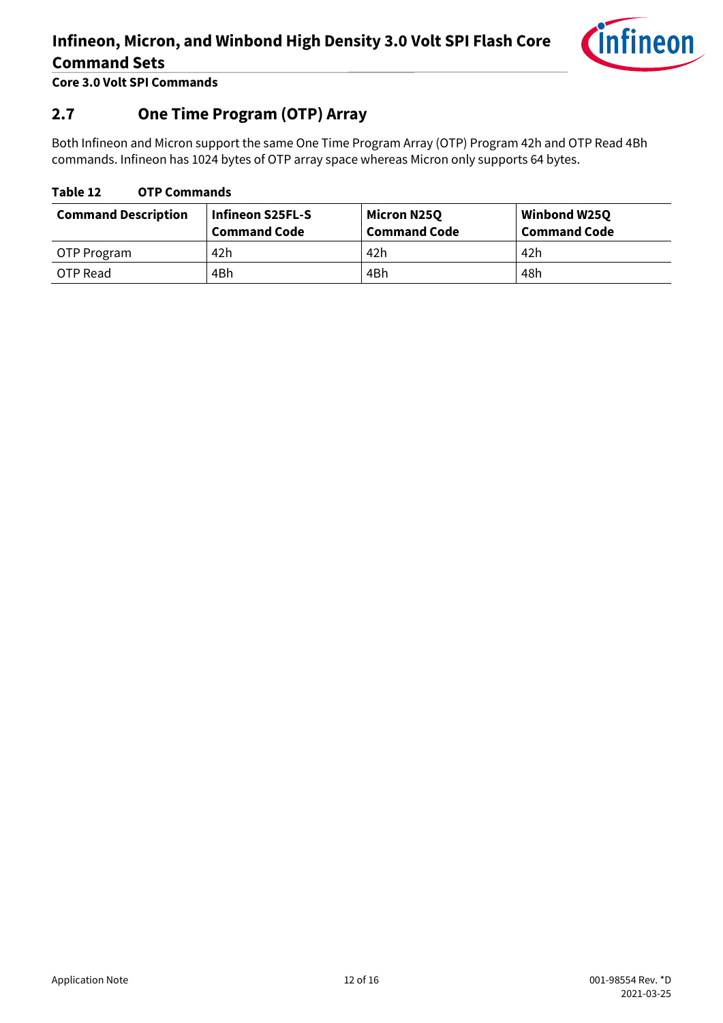

**Core 3.0 Volt SPI Commands**

### <span id="page-11-0"></span>**2.7 One Time Program (OTP) Array**

Both Infineon and Micron support the same One Time Program Array (OTP) Program 42h and OTP Read 4Bh commands. Infineon has 1024 bytes of OTP array space whereas Micron only supports 64 bytes.

#### **Table 12 OTP Commands**

| <b>Command Description</b> | <b>Infineon S25FL-S</b><br><b>Command Code</b> | Micron N25Q<br><b>Command Code</b> | Winbond W25Q<br><b>Command Code</b> |
|----------------------------|------------------------------------------------|------------------------------------|-------------------------------------|
| OTP Program                | 42h                                            | 42h                                | 42h                                 |
| OTP Read                   | 4Bh                                            | 4Bh                                | 48h                                 |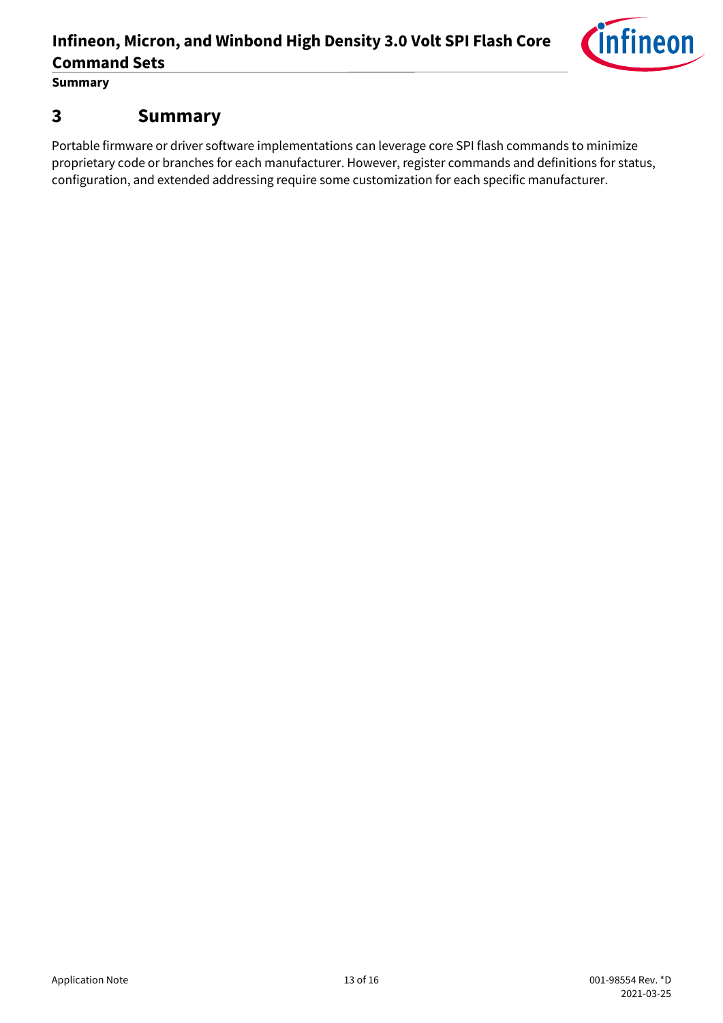

**Summary**

### <span id="page-12-0"></span>**3 Summary**

Portable firmware or driver software implementations can leverage core SPI flash commands to minimize proprietary code or branches for each manufacturer. However, register commands and definitions for status, configuration, and extended addressing require some customization for each specific manufacturer.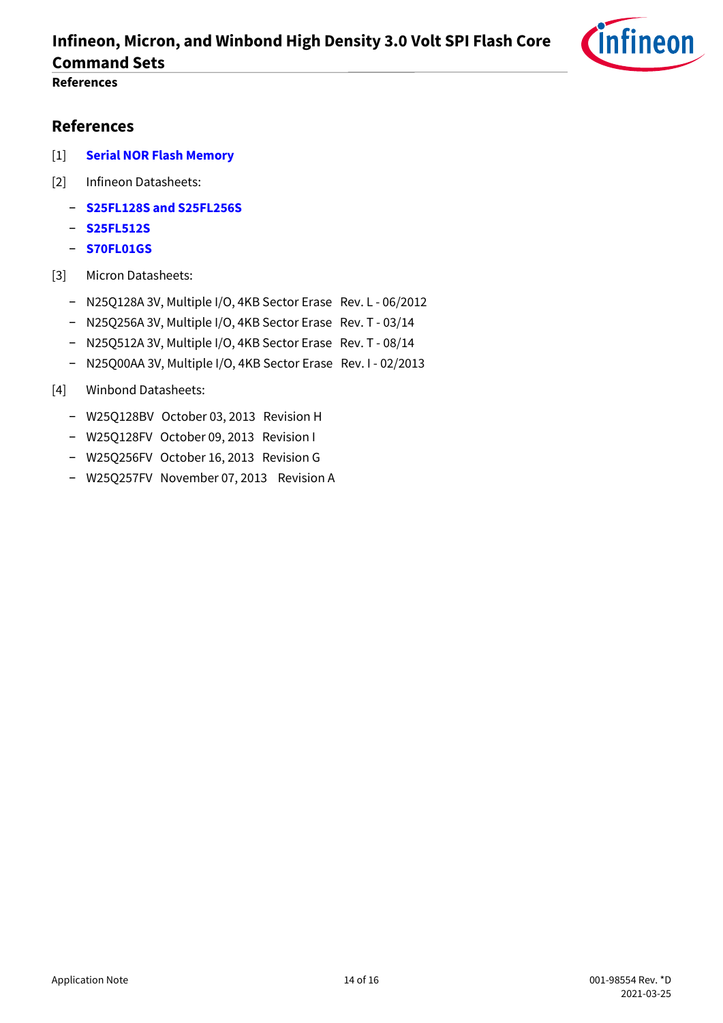

### **References**

### <span id="page-13-0"></span>**References**

- [1] **[Serial NOR Flash Memory](https://www.cypress.com/products/serial-nor-flash-memory)**
- [2] Infineon Datasheets:
	- − **[S25FL128S and S25FL256S](https://www.cypress.com/node/309386)**
	- − **[S25FL512S](https://www.cypress.com/node/309391)**
	- − **[S70FL01GS](https://www.cypress.com/node/433606)**
- [3] Micron Datasheets:
	- − N25Q128A 3V, Multiple I/O, 4KB Sector Erase Rev. L 06/2012
	- − N25Q256A 3V, Multiple I/O, 4KB Sector Erase Rev. T 03/14
	- − N25Q512A 3V, Multiple I/O, 4KB Sector Erase Rev. T 08/14
	- − N25Q00AA 3V, Multiple I/O, 4KB Sector Erase Rev. I 02/2013
- [4] Winbond Datasheets:
	- − W25Q128BV October 03, 2013 Revision H
	- − W25Q128FV October 09, 2013 Revision I
	- − W25Q256FV October 16, 2013 Revision G
	- − W25Q257FV November 07, 2013 Revision A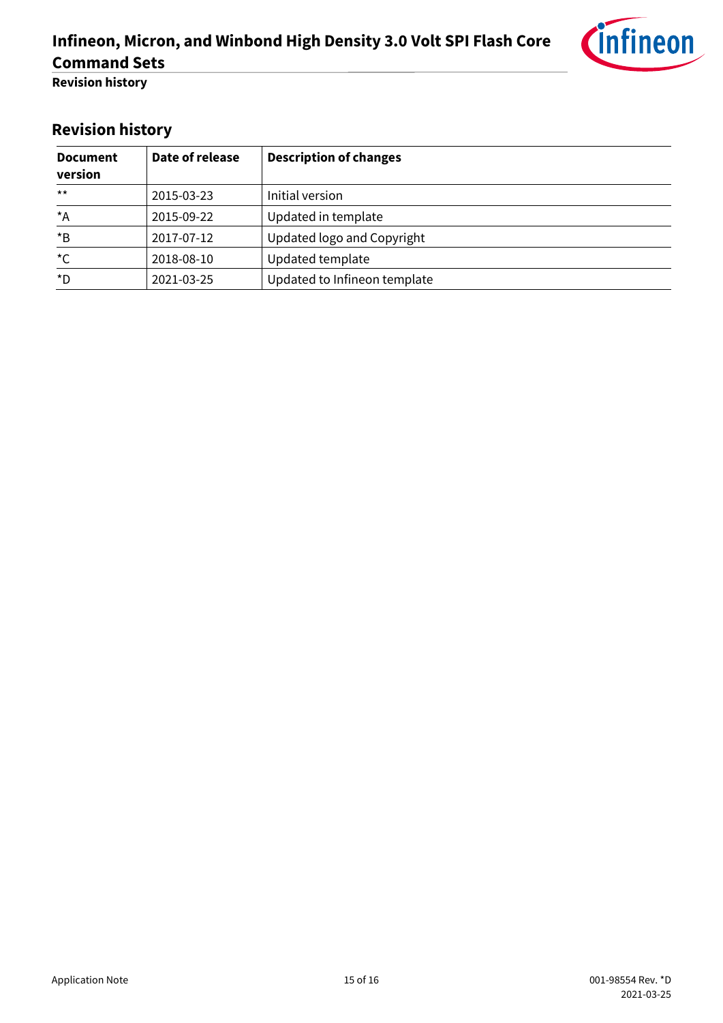

**Revision history**

# <span id="page-14-0"></span>**Revision history**

| <b>Document</b><br>version | Date of release | <b>Description of changes</b> |
|----------------------------|-----------------|-------------------------------|
| $***$                      | 2015-03-23      | Initial version               |
| $^{\star}$ A               | 2015-09-22      | Updated in template           |
| $*_{\mathsf{B}}$           | 2017-07-12      | Updated logo and Copyright    |
| $^{\star}$ C               | 2018-08-10      | Updated template              |
| *D                         | 2021-03-25      | Updated to Infineon template  |